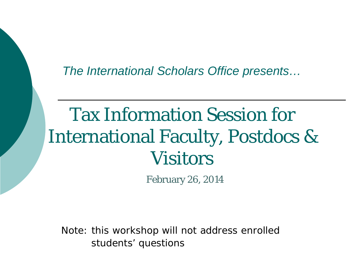*The International Scholars Office presents…*

#### Tax Information Session for International Faculty, Postdocs & **Visitors**

February 26, 2014

Note: this workshop will not address enrolled students' questions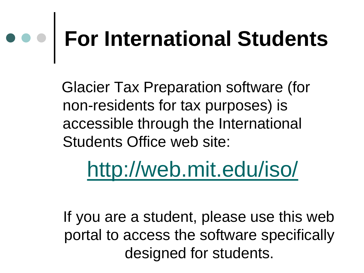# **For International Students**

 Glacier Tax Preparation software (for non-residents for tax purposes) is accessible through the International Students Office web site:

#### <http://web.mit.edu/iso/>

 If you are a student, please use this web portal to access the software specifically designed for students.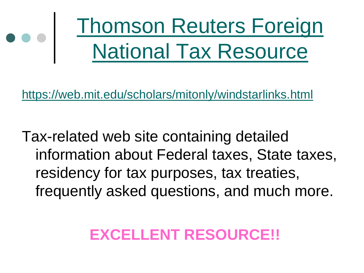

<https://web.mit.edu/scholars/mitonly/windstarlinks.html>

Tax-related web site containing detailed information about Federal taxes, State taxes, residency for tax purposes, tax treaties, frequently asked questions, and much more.

#### **EXCELLENT RESOURCE!!**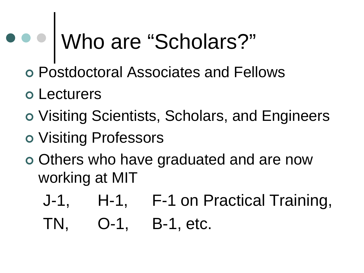# Who are "Scholars?"

- Postdoctoral Associates and Fellows
- Lecturers
- Visiting Scientists, Scholars, and Engineers
- Visiting Professors
- Others who have graduated and are now working at MIT
	- J-1, H-1, F-1 on Practical Training,
	- TN, O-1, B-1, etc.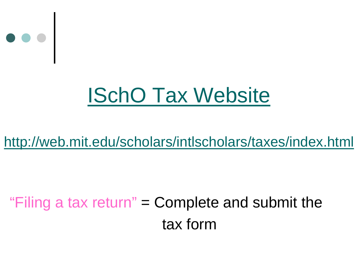

#### ISchO [Tax Website](http://web.mit.edu/scholars/intlscholars/taxes/index.html)

#### <http://web.mit.edu/scholars/intlscholars/taxes/index.html>

#### "Filing a tax return" = Complete and submit the tax form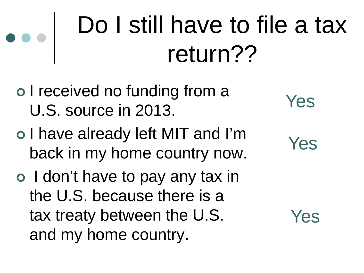### Do I still have to file a tax return??

- o I received no funding from a U.S. source in 2013.
- o I have already left MIT and I'm back in my home country now.
- o I don't have to pay any tax in the U.S. because there is a tax treaty between the U.S. and my home country.
- Yes
- Yes

Yes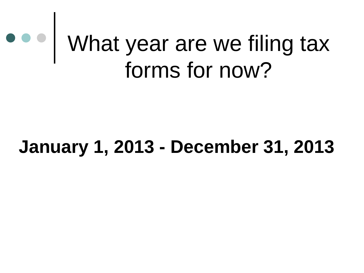#### What year are we filing tax forms for now?

#### **January 1, 2013 - December 31, 2013**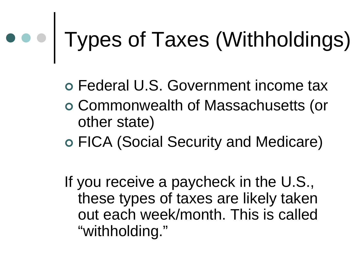# Types of Taxes (Withholdings)

Federal U.S. Government income tax

- Commonwealth of Massachusetts (or other state)
- FICA (Social Security and Medicare)

If you receive a paycheck in the U.S., these types of taxes are likely taken out each week/month. This is called "withholding."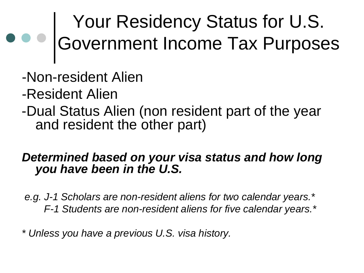#### Your Residency Status for U.S. Government Income Tax Purposes

- -Non-resident Alien
- -Resident Alien
- -Dual Status Alien (non resident part of the year and resident the other part)

#### *Determined based on your visa status and how long you have been in the U.S.*

*e.g. J-1 Scholars are non-resident aliens for two calendar years.\* F-1 Students are non-resident aliens for five calendar years.\**

*\* Unless you have a previous U.S. visa history.*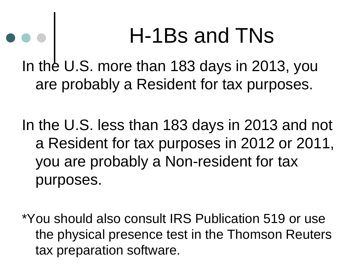#### H-1Bs and TNs

In the U.S. more than 183 days in 2013, you are probably a Resident for tax purposes.

In the U.S. less than 183 days in 2013 and not a Resident for tax purposes in 2012 or 2011, you are probably a Non-resident for tax purposes.

\*You should also consult IRS Publication 519 or use the physical presence test in the Thomson Reuters tax preparation software.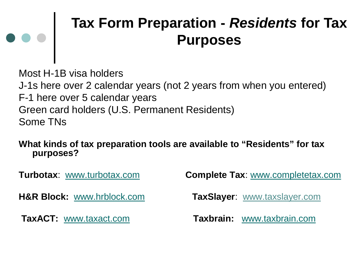#### **Tax Form Preparation -** *Residents* **for Tax Purposes**

Most H-1B visa holders J-1s here over 2 calendar years (not 2 years from when you entered) F-1 here over 5 calendar years Green card holders (U.S. Permanent Residents) Some TNs

#### **What kinds of tax preparation tools are available to "Residents" for tax purposes?**

**Turbotax**: [www.turbotax.com](http://www.turbotax.com/) **Complete Tax**: [www.completetax.com](http://www.completetax.com/) **H&R Block:** [www.hrblock.com](http://www.hrblock.com/) **TaxSlayer**: www.taxslayer.com **TaxACT:** [www.taxact.com](http://www.taxact.com/) **Taxbrain:** [www.taxbrain.com](http://www.taxbrain.com/)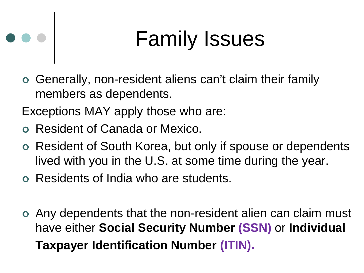#### Family Issues

- Generally, non-resident aliens can't claim their family members as dependents.
- Exceptions MAY apply those who are:
- Resident of Canada or Mexico.

 $\bullet$ 

- Resident of South Korea, but only if spouse or dependents lived with you in the U.S. at some time during the year.
- Residents of India who are students.
- Any dependents that the non-resident alien can claim must have either **Social Security Number (SSN)** or **Individual Taxpayer Identification Number (ITIN).**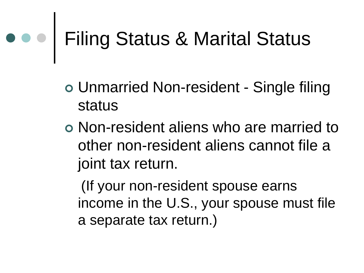# Filing Status & Marital Status

- Unmarried Non-resident Single filing status
- Non-resident aliens who are married to other non-resident aliens cannot file a joint tax return.

 (If your non-resident spouse earns income in the U.S., your spouse must file a separate tax return.)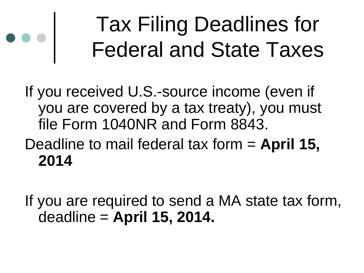#### Tax Filing Deadlines for Federal and State Taxes

If you received U.S.-source income (even if you are covered by a tax treaty), you must file Form 1040NR and Form 8843.

Deadline to mail federal tax form = **April 15, 2014**

If you are required to send a MA state tax form, deadline = **April 15, 2014.**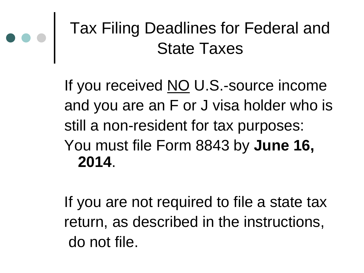

#### Tax Filing Deadlines for Federal and State Taxes

If you received NO U.S.-source income and you are an F or J visa holder who is still a non-resident for tax purposes: You must file Form 8843 by **June 16, 2014**.

If you are not required to file a state tax return, as described in the instructions, do not file.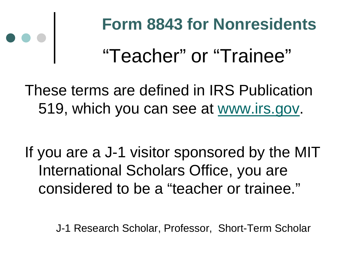#### "Teacher" or "Trainee" **Form 8843 for Nonresidents**

These terms are defined in IRS Publication 519, which you can see at [www.irs.gov.](http://www.irs.gov/)

If you are a J-1 visitor sponsored by the MIT International Scholars Office, you are considered to be a "teacher or trainee."

J-1 Research Scholar, Professor, Short-Term Scholar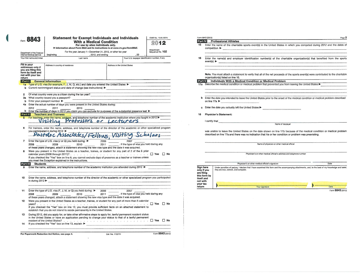|                      | 8843                                                                                                                                                          | <b>Statement for Exempt Individuals and Individuals</b>                                                                     |                                           | OMB No. 1545-0074                                |                                                   | Form 8843 (2012) | <b>Part W</b> Professional Athletes                         |
|----------------------|---------------------------------------------------------------------------------------------------------------------------------------------------------------|-----------------------------------------------------------------------------------------------------------------------------|-------------------------------------------|--------------------------------------------------|---------------------------------------------------|------------------|-------------------------------------------------------------|
|                      |                                                                                                                                                               | With a Medical Condition                                                                                                    |                                           | 2012                                             | 15                                                |                  |                                                             |
|                      |                                                                                                                                                               | For use by alien individuals only.<br>Information about Form 8843 and its instructions is at www.irs.gov/form8843.          |                                           |                                                  |                                                   |                  | Enter the name of the charitable sports event(s)            |
|                      |                                                                                                                                                               | For the year January 1-December 31, 2012, or other tax year                                                                 |                                           | Attachment<br>Sequence No. 102                   |                                                   |                  |                                                             |
|                      | Department of the Treasury<br>Internal Revenue Service                                                                                                        | beginning<br>, 2012, and ending                                                                                             | .20                                       |                                                  |                                                   |                  |                                                             |
|                      | Your first name and initial                                                                                                                                   | Last name                                                                                                                   |                                           | Your U.S. taxpayer identification number, if any | 16                                                |                  | Enter the name(s) and employer identification               |
|                      | Fill in your                                                                                                                                                  | Address in country of residence                                                                                             | Address in the United States              |                                                  |                                                   |                  |                                                             |
|                      | addresses only if<br>you are filing this                                                                                                                      |                                                                                                                             |                                           |                                                  |                                                   |                  |                                                             |
|                      | form by itself and                                                                                                                                            |                                                                                                                             |                                           |                                                  |                                                   |                  | Note. You must attach a statement to verify that            |
| return               | not with your tax                                                                                                                                             |                                                                                                                             |                                           |                                                  |                                                   |                  | organization(s) listed on line 16.                          |
| Part I               |                                                                                                                                                               | <b>General Information</b>                                                                                                  |                                           |                                                  |                                                   |                  | <b>Part V</b> Individuals With a Medical Condition          |
|                      |                                                                                                                                                               |                                                                                                                             |                                           |                                                  |                                                   |                  | 17a Describe the medical condition or medical proble        |
|                      |                                                                                                                                                               |                                                                                                                             |                                           |                                                  |                                                   |                  |                                                             |
| $\overline{2}$       |                                                                                                                                                               |                                                                                                                             |                                           |                                                  |                                                   |                  |                                                             |
|                      |                                                                                                                                                               |                                                                                                                             |                                           |                                                  |                                                   |                  | <b>b</b> Enter the date you intended to leave the United St |
|                      |                                                                                                                                                               | b Enter your passport number because the contract of the United States during:                                              |                                           |                                                  |                                                   |                  |                                                             |
|                      |                                                                                                                                                               |                                                                                                                             |                                           |                                                  |                                                   |                  | c Enter the date you actually left the United States        |
| b                    | 2012                                                                                                                                                          | 2011 2010<br>Enter the number of days in 2012 you claim you can exclude for purposes of the substantial presence test >     |                                           |                                                  |                                                   |                  |                                                             |
|                      |                                                                                                                                                               | <b>Part II</b> Teachers and Trainees                                                                                        |                                           |                                                  | 18                                                |                  | Physician's Statement:                                      |
| 5                    |                                                                                                                                                               | For teachers, enter the name, address, and telephone number of the academic institution where you taught in 2012            |                                           |                                                  |                                                   |                  |                                                             |
|                      |                                                                                                                                                               | Visiting Professors or Lecturers                                                                                            |                                           | I certify that                                   |                                                   |                  |                                                             |
|                      |                                                                                                                                                               |                                                                                                                             |                                           |                                                  |                                                   |                  |                                                             |
|                      | For trainees, enter the name, address, and telephone number of the director of the academic or other specialized program<br>you participated in during 2012 ▶ |                                                                                                                             |                                           |                                                  |                                                   |                  | was unable to leave the United States on the da             |
|                      |                                                                                                                                                               |                                                                                                                             |                                           |                                                  | described on line 17a and there was no indication |                  |                                                             |
|                      |                                                                                                                                                               | Pastdoc Associates/Fellows, Visiting Scholars                                                                               |                                           |                                                  |                                                   |                  |                                                             |
| $\overline{7}$       |                                                                                                                                                               | Enter the type of U.S. visa (J or Q) you held during: ▶                                                                     | 2006<br>2007                              |                                                  |                                                   |                  |                                                             |
|                      | 2008                                                                                                                                                          | 2009 2010<br>2011                                                                                                           | . If the type of visa you held during any |                                                  |                                                   |                  | Na                                                          |
|                      |                                                                                                                                                               | of these years changed, attach a statement showing the new visa type and the date it was acquired.                          |                                           |                                                  |                                                   |                  |                                                             |
|                      | Were you present in the United States as a teacher, trainee, or student for any part of 2 of the 6 prior                                                      |                                                                                                                             |                                           |                                                  |                                                   |                  | Physician's or o                                            |
|                      |                                                                                                                                                               | If you checked the "Yes" box on line 8, you cannot exclude days of presence as a teacher or trainee unless                  |                                           |                                                  |                                                   |                  |                                                             |
|                      |                                                                                                                                                               | you meet the Exception explained in the instructions.                                                                       |                                           |                                                  |                                                   |                  |                                                             |
|                      | Part III Students                                                                                                                                             |                                                                                                                             |                                           |                                                  |                                                   |                  | Physician's or other medi-                                  |
|                      |                                                                                                                                                               |                                                                                                                             |                                           |                                                  |                                                   |                  |                                                             |
| $\mathbf{Q}$         |                                                                                                                                                               | Enter the name, address, and telephone number of the academic institution you attended during 2012 ▶                        |                                           |                                                  | Sign here                                         |                  | Under penalties of perjury, I declare that I have exa       |
|                      |                                                                                                                                                               |                                                                                                                             |                                           |                                                  | only if you<br>are filing                         |                  | they are true, correct, and complete.                       |
|                      |                                                                                                                                                               |                                                                                                                             |                                           |                                                  | this form by                                      |                  |                                                             |
| 10                   |                                                                                                                                                               | Enter the name, address, and telephone number of the director of the academic or other specialized program you participated |                                           |                                                  | itself and<br>not with                            |                  |                                                             |
|                      |                                                                                                                                                               |                                                                                                                             |                                           |                                                  | your tax                                          |                  |                                                             |
|                      |                                                                                                                                                               |                                                                                                                             |                                           |                                                  | return                                            |                  | You                                                         |
|                      |                                                                                                                                                               | Enter the type of U.S. visa (F, J, M, or Q) you held during: $\blacktriangleright$ 2006                                     | 2007                                      |                                                  |                                                   |                  |                                                             |
|                      | 2008 2008                                                                                                                                                     | 2009 2010 2011 Fifthe type of visa you held during any                                                                      |                                           |                                                  |                                                   |                  |                                                             |
|                      |                                                                                                                                                               | of these years changed, attach a statement showing the new visa type and the date it was acquired.                          |                                           |                                                  |                                                   |                  |                                                             |
|                      |                                                                                                                                                               | Were you present in the United States as a teacher, trainee, or student for any part of more than 5 calendar                |                                           |                                                  |                                                   |                  |                                                             |
|                      |                                                                                                                                                               | If you checked the "Yes" box on line 12, you must provide sufficient facts on an attached statement to                      |                                           |                                                  |                                                   |                  |                                                             |
|                      |                                                                                                                                                               | establish that you do not intend to reside permanently in the United States.                                                |                                           |                                                  |                                                   |                  |                                                             |
|                      |                                                                                                                                                               | During 2012, did you apply for, or take other affirmative steps to apply for, lawful permanent resident status              |                                           |                                                  |                                                   |                  |                                                             |
|                      |                                                                                                                                                               | in the United States or have an application pending to change your status to that of a lawful permanent                     |                                           |                                                  |                                                   |                  |                                                             |
|                      |                                                                                                                                                               |                                                                                                                             |                                           |                                                  |                                                   |                  |                                                             |
| 11<br>12<br>13<br>14 |                                                                                                                                                               | If you checked the "Yes" box on line 13, explain P<br>If you checked the "Yes" box on line 13, explain P                    |                                           |                                                  |                                                   |                  |                                                             |

| Part IV                                                          |                                                                                                                                                                                                                                    | <b>Professional Athletes</b>                                                                                                                                                                 |  |  |  |
|------------------------------------------------------------------|------------------------------------------------------------------------------------------------------------------------------------------------------------------------------------------------------------------------------------|----------------------------------------------------------------------------------------------------------------------------------------------------------------------------------------------|--|--|--|
| 15                                                               |                                                                                                                                                                                                                                    | Enter the name of the charitable sports event(s) in the United States in which you competed during 2012 and the dates of<br>competition <b>b</b>                                             |  |  |  |
| 16                                                               | event(s) $\blacktriangleright$                                                                                                                                                                                                     | Enter the name(s) and employer identification number(s) of the charitable organization(s) that benefited from the sports                                                                     |  |  |  |
|                                                                  |                                                                                                                                                                                                                                    | Note. You must attach a statement to verify that all of the net proceeds of the sports event(s) were contributed to the charitable<br>organization(s) listed on line 16.                     |  |  |  |
| Part V                                                           |                                                                                                                                                                                                                                    | Individuals With a Medical Condition or Medical Problem                                                                                                                                      |  |  |  |
|                                                                  |                                                                                                                                                                                                                                    | 17a Describe the medical condition or medical problem that prevented you from leaving the United States                                                                                      |  |  |  |
| ь                                                                |                                                                                                                                                                                                                                    | Enter the date you intended to leave the United States prior to the onset of the medical condition or medical problem described<br>on line 17a >                                             |  |  |  |
|                                                                  |                                                                                                                                                                                                                                    | Enter the date you actually left the United States                                                                                                                                           |  |  |  |
| 18                                                               | Physician's Statement:                                                                                                                                                                                                             |                                                                                                                                                                                              |  |  |  |
|                                                                  | I certify that                                                                                                                                                                                                                     |                                                                                                                                                                                              |  |  |  |
|                                                                  |                                                                                                                                                                                                                                    | Name of taxpayer                                                                                                                                                                             |  |  |  |
|                                                                  | was unable to leave the United States on the date shown on line 17b because of the medical condition or medical problem<br>described on line 17a and there was no indication that his or her condition or problem was preexisting. |                                                                                                                                                                                              |  |  |  |
|                                                                  |                                                                                                                                                                                                                                    | Name of physician or other medical official                                                                                                                                                  |  |  |  |
|                                                                  |                                                                                                                                                                                                                                    | Physician's or other medical official's address and telephone number                                                                                                                         |  |  |  |
|                                                                  |                                                                                                                                                                                                                                    | Date<br>Physician's or other medical official's signature                                                                                                                                    |  |  |  |
| Sign here<br>only if you<br>are filing<br>itself and<br>not with | this form by                                                                                                                                                                                                                       | Under penalties of perjury, I declare that I have examined this form and the accompanying attachments, and, to the best of my knowledge and belief.<br>they are true, correct, and complete. |  |  |  |
|                                                                  |                                                                                                                                                                                                                                    |                                                                                                                                                                                              |  |  |  |
| your tax                                                         |                                                                                                                                                                                                                                    |                                                                                                                                                                                              |  |  |  |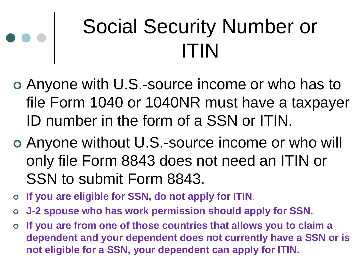#### Social Security Number or ITIN

- Anyone with U.S.-source income or who has to file Form 1040 or 1040NR must have a taxpayer ID number in the form of a SSN or ITIN.
- Anyone without U.S.-source income or who will only file Form 8843 does not need an ITIN or SSN to submit Form 8843.
- **If you are eligible for SSN, do not apply for ITIN**.
- **J-2 spouse who has work permission should apply for SSN.**
- **If you are from one of those countries that allows you to claim a dependent and your dependent does not currently have a SSN or is not eligible for a SSN, your dependent can apply for ITIN.**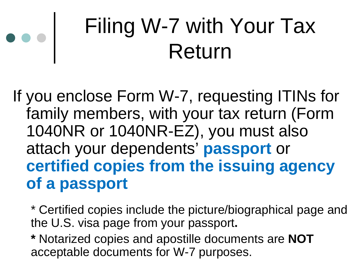#### Filing W-7 with Your Tax Return

If you enclose Form W-7, requesting ITINs for family members, with your tax return (Form 1040NR or 1040NR-EZ), you must also attach your dependents' **passport** or **certified copies from the issuing agency of a passport**

\* Certified copies include the picture/biographical page and the U.S. visa page from your passport**.**

**\*** Notarized copies and apostille documents are **NOT** acceptable documents for W-7 purposes.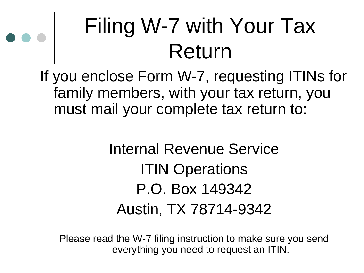#### Filing W-7 with Your Tax Return

If you enclose Form W-7, requesting ITINs for family members, with your tax return, you must mail your complete tax return to:

#### Internal Revenue Service ITIN Operations P.O. Box 149342 Austin, TX 78714-9342

Please read the W-7 filing instruction to make sure you send everything you need to request an ITIN.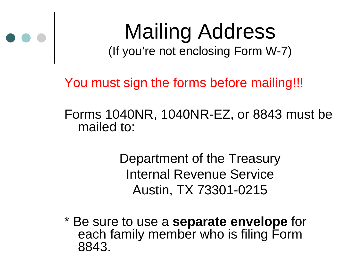

### Mailing Address

(If you're not enclosing Form W-7)

You must sign the forms before mailing!!!

Forms 1040NR, 1040NR-EZ, or 8843 must be mailed to:

> Department of the Treasury Internal Revenue Service Austin, TX 73301-0215

\* Be sure to use a **separate envelope** for each family member who is filing Form 8843.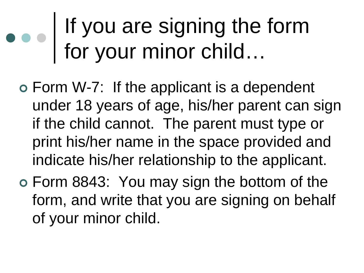#### If you are signing the form for your minor child…

- Form W-7: If the applicant is a dependent under 18 years of age, his/her parent can sign if the child cannot. The parent must type or print his/her name in the space provided and indicate his/her relationship to the applicant.
- Form 8843: You may sign the bottom of the form, and write that you are signing on behalf of your minor child.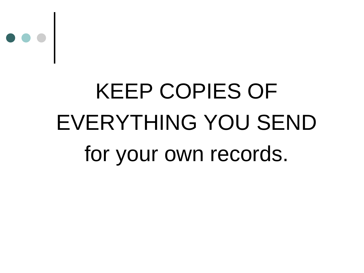

### KEEP COPIES OF EVERYTHING YOU SEND for your own records.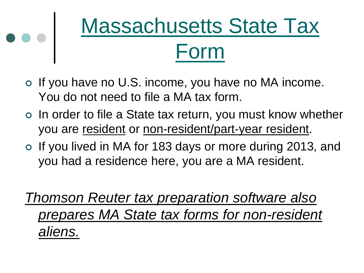

- o If you have no U.S. income, you have no MA income. You do not need to file a MA tax form.
- o In order to file a State tax return, you must know whether you are resident or non-resident/part-year resident.
- If you lived in MA for 183 days or more during 2013, and you had a residence here, you are a MA resident.
- *Thomson Reuter tax preparation software also prepares MA State tax forms for non-resident aliens.*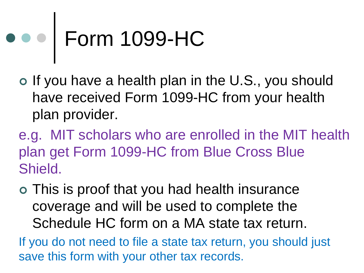## ••• Form 1099-HC

- o If you have a health plan in the U.S., you should have received Form 1099-HC from your health plan provider.
- e.g. MIT scholars who are enrolled in the MIT health plan get Form 1099-HC from Blue Cross Blue Shield.
- This is proof that you had health insurance coverage and will be used to complete the Schedule HC form on a MA state tax return.
- If you do not need to file a state tax return, you should just save this form with your other tax records.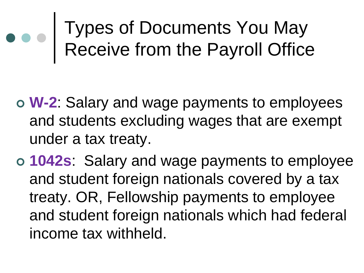Types of Documents You May Receive from the Payroll Office

- **W-2**: Salary and wage payments to employees and students excluding wages that are exempt under a tax treaty.
- **1042s**: Salary and wage payments to employee and student foreign nationals covered by a tax treaty. OR, Fellowship payments to employee and student foreign nationals which had federal income tax withheld.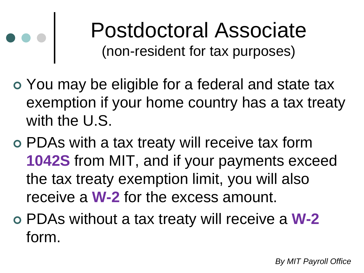#### Postdoctoral Associate (non-resident for tax purposes)

- You may be eligible for a federal and state tax exemption if your home country has a tax treaty with the U.S.
- PDAs with a tax treaty will receive tax form **1042S** from MIT, and if your payments exceed the tax treaty exemption limit, you will also receive a **W-2** for the excess amount.
- PDAs without a tax treaty will receive a **W-2** form.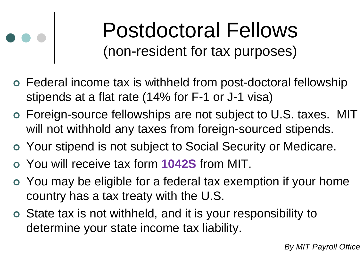#### Postdoctoral Fellows (non-resident for tax purposes)

- Federal income tax is withheld from post-doctoral fellowship stipends at a flat rate (14% for F-1 or J-1 visa)
- Foreign-source fellowships are not subject to U.S. taxes. MIT will not withhold any taxes from foreign-sourced stipends.
- Your stipend is not subject to Social Security or Medicare.
- You will receive tax form **1042S** from MIT.
- You may be eligible for a federal tax exemption if your home country has a tax treaty with the U.S.
- State tax is not withheld, and it is your responsibility to determine your state income tax liability.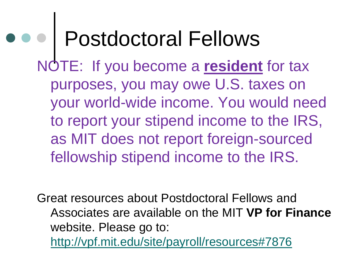### Postdoctoral Fellows

NOTE: If you become a **resident** for tax purposes, you may owe U.S. taxes on your world-wide income. You would need to report your stipend income to the IRS, as MIT does not report foreign-sourced fellowship stipend income to the IRS.

Great resources about Postdoctoral Fellows and Associates are available on the MIT **VP for Finance**  website. Please go to: <http://vpf.mit.edu/site/payroll/resources#7876>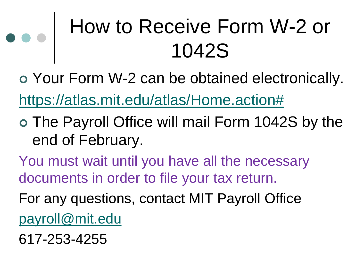#### How to Receive Form W-2 or 1042S

 Your Form W-2 can be obtained electronically. [https://atlas.mit.edu/atlas/Home.action#](https://atlas.mit.edu/atlas/Home.action)

- The Payroll Office will mail Form 1042S by the end of February.
- You must wait until you have all the necessary documents in order to file your tax return.
- For any questions, contact MIT Payroll Office [payroll@mit.edu](mailto:payroll@mit.edu)
- 617-253-4255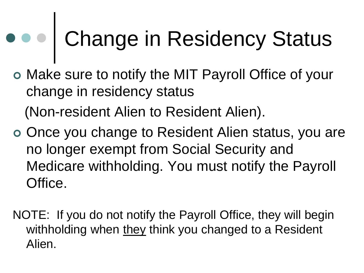# Change in Residency Status

 Make sure to notify the MIT Payroll Office of your change in residency status

(Non-resident Alien to Resident Alien).

- o Once you change to Resident Alien status, you are no longer exempt from Social Security and Medicare withholding. You must notify the Payroll Office.
- NOTE: If you do not notify the Payroll Office, they will begin withholding when they think you changed to a Resident Alien.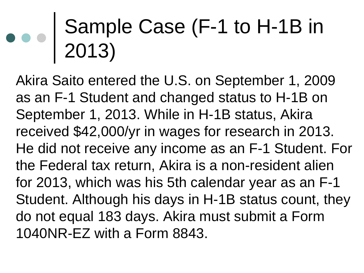#### Sample Case (F-1 to H-1B in 2013)

Akira Saito entered the U.S. on September 1, 2009 as an F-1 Student and changed status to H-1B on September 1, 2013. While in H-1B status, Akira received \$42,000/yr in wages for research in 2013. He did not receive any income as an F-1 Student. For the Federal tax return, Akira is a non-resident alien for 2013, which was his 5th calendar year as an F-1 Student. Although his days in H-1B status count, they do not equal 183 days. Akira must submit a Form 1040NR-EZ with a Form 8843.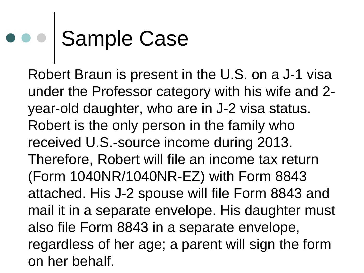## Sample Case

Robert Braun is present in the U.S. on a J-1 visa under the Professor category with his wife and 2 year-old daughter, who are in J-2 visa status. Robert is the only person in the family who received U.S.-source income during 2013. Therefore, Robert will file an income tax return (Form 1040NR/1040NR-EZ) with Form 8843 attached. His J-2 spouse will file Form 8843 and mail it in a separate envelope. His daughter must also file Form 8843 in a separate envelope, regardless of her age; a parent will sign the form on her behalf.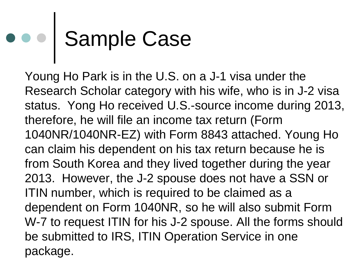# Sample Case

Young Ho Park is in the U.S. on a J-1 visa under the Research Scholar category with his wife, who is in J-2 visa status. Yong Ho received U.S.-source income during 2013, therefore, he will file an income tax return (Form 1040NR/1040NR-EZ) with Form 8843 attached. Young Ho can claim his dependent on his tax return because he is from South Korea and they lived together during the year 2013. However, the J-2 spouse does not have a SSN or ITIN number, which is required to be claimed as a dependent on Form 1040NR, so he will also submit Form W-7 to request ITIN for his J-2 spouse. All the forms should be submitted to IRS, ITIN Operation Service in one package.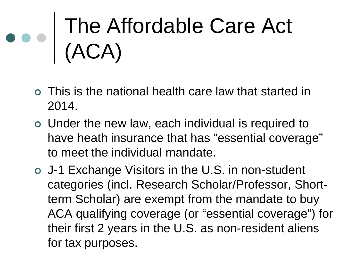### The Affordable Care Act (ACA)

- This is the national health care law that started in 2014.
- Under the new law, each individual is required to have heath insurance that has "essential coverage" to meet the individual mandate.
- J-1 Exchange Visitors in the U.S. in non-student categories (incl. Research Scholar/Professor, Shortterm Scholar) are exempt from the mandate to buy ACA qualifying coverage (or "essential coverage") for their first 2 years in the U.S. as non-resident aliens for tax purposes.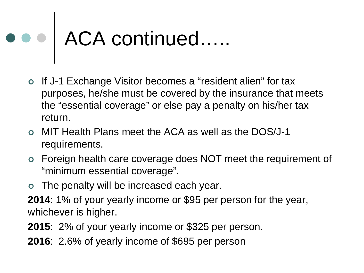# ACA continued…..

- If J-1 Exchange Visitor becomes a "resident alien" for tax purposes, he/she must be covered by the insurance that meets the "essential coverage" or else pay a penalty on his/her tax return.
- MIT Health Plans meet the ACA as well as the DOS/J-1 requirements.
- Foreign health care coverage does NOT meet the requirement of "minimum essential coverage".
- The penalty will be increased each year.
- **2014**: 1% of your yearly income or \$95 per person for the year, whichever is higher.
- **2015**: 2% of your yearly income or \$325 per person.
- **2016**: 2.6% of yearly income of \$695 per person